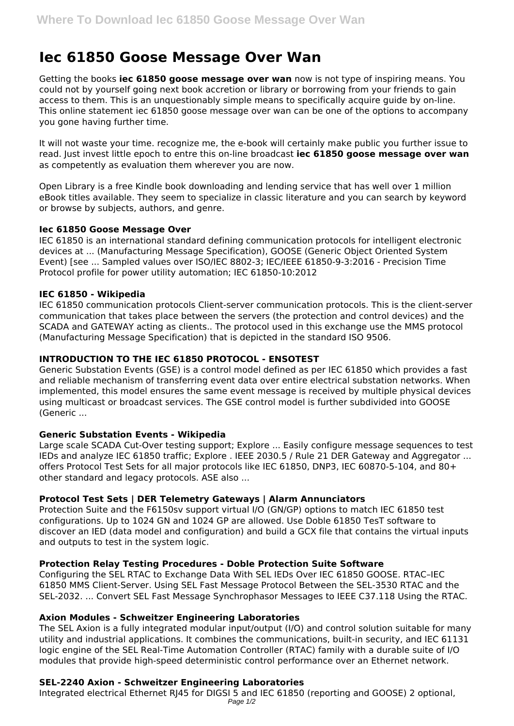# **Iec 61850 Goose Message Over Wan**

Getting the books **iec 61850 goose message over wan** now is not type of inspiring means. You could not by yourself going next book accretion or library or borrowing from your friends to gain access to them. This is an unquestionably simple means to specifically acquire guide by on-line. This online statement iec 61850 goose message over wan can be one of the options to accompany you gone having further time.

It will not waste your time. recognize me, the e-book will certainly make public you further issue to read. Just invest little epoch to entre this on-line broadcast **iec 61850 goose message over wan** as competently as evaluation them wherever you are now.

Open Library is a free Kindle book downloading and lending service that has well over 1 million eBook titles available. They seem to specialize in classic literature and you can search by keyword or browse by subjects, authors, and genre.

# **Iec 61850 Goose Message Over**

IEC 61850 is an international standard defining communication protocols for intelligent electronic devices at ... (Manufacturing Message Specification), GOOSE (Generic Object Oriented System Event) [see ... Sampled values over ISO/IEC 8802-3; IEC/IEEE 61850-9-3:2016 - Precision Time Protocol profile for power utility automation; IEC 61850-10:2012

# **IEC 61850 - Wikipedia**

IEC 61850 communication protocols Client-server communication protocols. This is the client-server communication that takes place between the servers (the protection and control devices) and the SCADA and GATEWAY acting as clients.. The protocol used in this exchange use the MMS protocol (Manufacturing Message Specification) that is depicted in the standard ISO 9506.

# **INTRODUCTION TO THE IEC 61850 PROTOCOL - ENSOTEST**

Generic Substation Events (GSE) is a control model defined as per IEC 61850 which provides a fast and reliable mechanism of transferring event data over entire electrical substation networks. When implemented, this model ensures the same event message is received by multiple physical devices using multicast or broadcast services. The GSE control model is further subdivided into GOOSE (Generic ...

# **Generic Substation Events - Wikipedia**

Large scale SCADA Cut-Over testing support; Explore ... Easily configure message sequences to test IEDs and analyze IEC 61850 traffic; Explore . IEEE 2030.5 / Rule 21 DER Gateway and Aggregator ... offers Protocol Test Sets for all major protocols like IEC 61850, DNP3, IEC 60870-5-104, and 80+ other standard and legacy protocols. ASE also ...

# **Protocol Test Sets | DER Telemetry Gateways | Alarm Annunciators**

Protection Suite and the F6150sv support virtual I/O (GN/GP) options to match IEC 61850 test configurations. Up to 1024 GN and 1024 GP are allowed. Use Doble 61850 TesT software to discover an IED (data model and configuration) and build a GCX file that contains the virtual inputs and outputs to test in the system logic.

# **Protection Relay Testing Procedures - Doble Protection Suite Software**

Configuring the SEL RTAC to Exchange Data With SEL IEDs Over IEC 61850 GOOSE. RTAC–IEC 61850 MMS Client-Server. Using SEL Fast Message Protocol Between the SEL-3530 RTAC and the SEL-2032. ... Convert SEL Fast Message Synchrophasor Messages to IEEE C37.118 Using the RTAC.

#### **Axion Modules - Schweitzer Engineering Laboratories**

The SEL Axion is a fully integrated modular input/output (I/O) and control solution suitable for many utility and industrial applications. It combines the communications, built-in security, and IEC 61131 logic engine of the SEL Real-Time Automation Controller (RTAC) family with a durable suite of I/O modules that provide high-speed deterministic control performance over an Ethernet network.

# **SEL-2240 Axion - Schweitzer Engineering Laboratories**

Integrated electrical Ethernet RJ45 for DIGSI 5 and IEC 61850 (reporting and GOOSE) 2 optional, Page 1/2